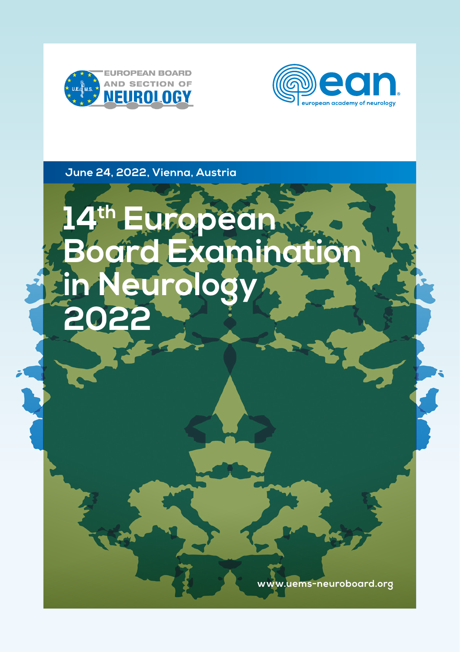



**June 24, 2022, Vienna, Austria**

# **14th European Board Examination in Neurology 2022**

**www.uems-neuroboard.org**